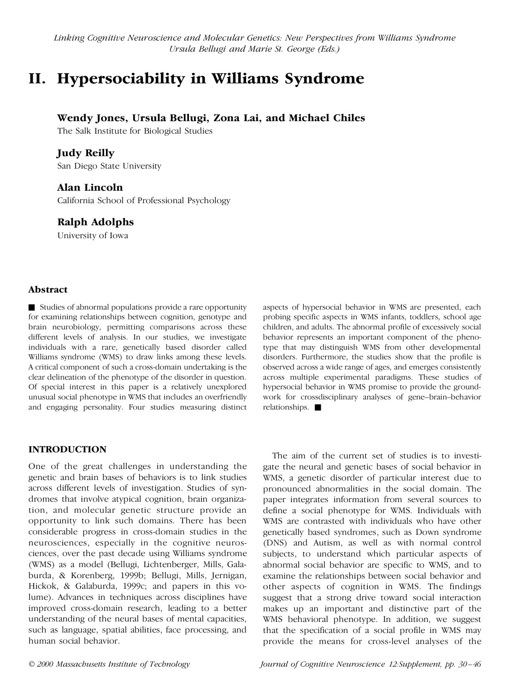*Linking Cognitive Neuroscience and Molecular Genetics: New Perspectives from Williams Syndrome Ursula Bellugi and Marie St. George (Eds.)*

# **II. Hypersociability in Williams Syndrome**

# **Wendy Jones, Ursula Bellugi, Zona Lai, and Michael Chiles**

The Salk Institute for Biological Studies

# **Judy Reilly**

San Diego State University

#### **Alan Lincoln**

California School of Professional Psychology

#### **Ralph Adolphs**

University of Iowa

# **Abstract**

& Studies of abnormal populations provide a rare opportunity for examining relationships between cognition, genotype and brain neurobiology, permitting comparisons across these different levels of analysis. In our studies, we investigate individuals with a rare, genetically based disorder called Williams syndrome (WMS) to draw links among these levels. A critical component of such a cross-domain undertaking is the clear delineation of the phenotype of the disorder in question. Of special interest in this paper is a relatively unexplored unusual social phenotype in WMS that includes an overfriendly and engaging personality. Four studies measuring distinct

#### **INTRODUCTION**

One of the great challenges in understanding the genetic and brain bases of behaviors is to link studies across different levels of investigation. Studies of syndromes that involve atypical cognition, brain organization, and molecular genetic structure provide an opportunity to link such domains. There has been considerable progress in cross-domain studies in the neurosciences, especially in the cognitive neurosciences, over the past decade using Williams syndrome (WMS) as a model (Bellugi, Lichtenberger, Mills, Galaburda, & Korenberg, 1999b; Bellugi, Mills, Jernigan, Hickok, & Galaburda, 1999c; and papers in this volume). Advances in techniques across disciplines have improved cross-domain research, leading to a better understanding of the neural bases of mental capacities, such as language, spatial abilities, face processing, and human social behavior.

aspects of hypersocial behavior in WMS are presented, each probing specific aspects in WMS infants, toddlers, school age children, and adults. The abnormal profile of excessively social behavior represents an important component of the phenotype that may distinguish WMS from other developmental disorders. Furthermore, the studies show that the profile is observed across a wide range of ages, and emerges consistently across multiple experimental paradigms. These studies of hypersocial behavior in WMS promise to provide the groundwork for crossdisciplinary analyses of gene–brain–behavior relationships.  $\blacksquare$ 

The aim of the current set of studies is to investigate the neural and genetic bases of social behavior in WMS, a genetic disorder of particular interest due to pronounced abnormalities in the social domain. The paper integrates information from several sources to define a social phenotype for WMS. Individuals with WMS are contrasted with individuals who have other genetically based syndromes, such as Down syndrome (DNS) and Autism, as well as with normal control subjects, to understand which particular aspects of abnormal social behavior are specific to WMS, and to examine the relationships between social behavior and other aspects of cognition in WMS. The findings suggest that a strong drive toward social interaction makes up an important and distinctive part of the WMS behavioral phenotype. In addition, we suggest that the specification of a social profile in WMS may provide the means for cross-level analyses of the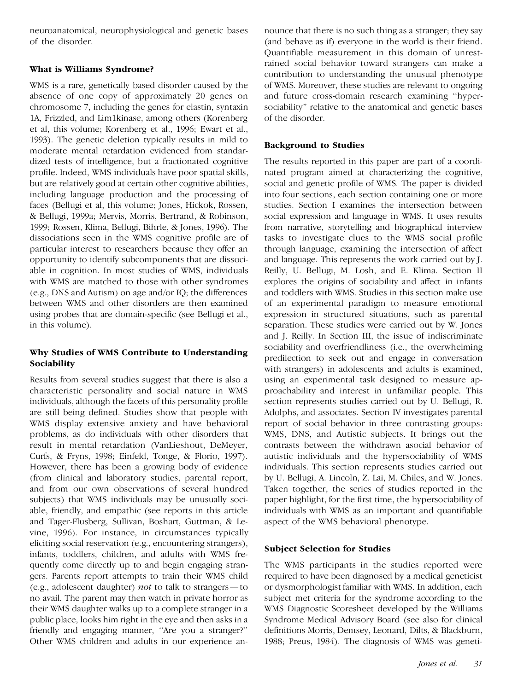neuroanatomical, neurophysiological and genetic bases of the disorder.

## **What is Williams Syndrome?**

WMS is a rare, genetically based disorder caused by the absence of one copy of approximately 20 genes on chromosome 7, including the genes for elastin, syntaxin 1A, Frizzled, and Lim1kinase, among others (Korenberg et al, this volume; Korenberg et al., 1996; Ewart et al., 1993). The genetic deletion typically results in mild to moderate mental retardation evidenced from standardized tests of intelligence, but a fractionated cognitive profile. Indeed, WMS individuals have poor spatial skills, but are relatively good at certain other cognitive abilities, including language production and the processing of faces (Bellugi et al, this volume; Jones, Hickok, Rossen, & Bellugi, 1999a; Mervis, Morris, Bertrand, & Robinson, 1999; Rossen, Klima, Bellugi, Bihrle, & Jones, 1996). The dissociations seen in the WMS cognitive profile are of particular interest to researchers because they offer an opportunity to identify subcomponents that are dissociable in cognition. In most studies of WMS, individuals with WMS are matched to those with other syndromes (e.g., DNS and Autism) on age and/or IQ; the differences between WMS and other disorders are then examined using probes that are domain-specific (see Bellugi et al., in this volume).

# **Why Studies of WMS Contribute to Understanding Sociability**

Results from several studies suggest that there is also a characteristic personality and social nature in WMS individuals, although the facets of this personality profile are still being defined. Studies show that people with WMS display extensive anxiety and have behavioral problems, as do individuals with other disorders that result in mental retardation (VanLieshout, DeMeyer, Curfs, & Fryns, 1998; Einfeld, Tonge, & Florio, 1997). However, there has been a growing body of evidence (from clinical and laboratory studies, parental report, and from our own observations of several hundred subjects) that WMS individuals may be unusually sociable, friendly, and empathic (see reports in this article and Tager-Flusberg, Sullivan, Boshart, Guttman, & Levine, 1996). For instance, in circumstances typically eliciting social reservation (e.g., encountering strangers), infants, toddlers, children, and adults with WMS frequently come directly up to and begin engaging strangers. Parents report attempts to train their WMS child (e.g., adolescent daughter) *not* to talk to strangers— to no avail. The parent may then watch in private horror as their WMS daughter walks up to a complete stranger in a public place, looks him right in the eye and then asks in a friendly and engaging manner, ''Are you a stranger?'' Other WMS children and adults in our experience announce that there is no such thing as a stranger; they say (and behave as if) everyone in the world is their friend. Quantifiable measurement in this domain of unrestrained social behavior toward strangers can make a contribution to understanding the unusual phenotype of WMS. Moreover, these studies are relevant to ongoing and future cross-domain research examining ''hypersociability'' relative to the anatomical and genetic bases of the disorder.

# **Background to Studies**

The results reported in this paper are part of a coordinated program aimed at characterizing the cognitive, social and genetic profile of WMS. The paper is divided into four sections, each section containing one or more studies. Section I examines the intersection between social expression and language in WMS. It uses results from narrative, storytelling and biographical interview tasks to investigate clues to the WMS social profile through language, examining the intersection of affect and language. This represents the work carried out by J. Reilly, U. Bellugi, M. Losh, and E. Klima. Section II explores the origins of sociability and affect in infants and toddlers with WMS. Studies in this section make use of an experimental paradigm to measure emotional expression in structured situations, such as parental separation. These studies were carried out by W. Jones and J. Reilly. In Section III, the issue of indiscriminate sociability and overfriendliness (i.e., the overwhelming predilection to seek out and engage in conversation with strangers) in adolescents and adults is examined, using an experimental task designed to measure approachability and interest in unfamiliar people. This section represents studies carried out by U. Bellugi, R. Adolphs, and associates. Section IV investigates parental report of social behavior in three contrasting groups: WMS, DNS, and Autistic subjects. It brings out the contrasts between the withdrawn asocial behavior of autistic individuals and the hypersociability of WMS individuals. This section represents studies carried out by U. Bellugi, A. Lincoln, Z. Lai, M. Chiles, and W. Jones. Taken together, the series of studies reported in the paper highlight, for the first time, the hypersociability of individuals with WMS as an important and quantifiable aspect of the WMS behavioral phenotype.

# **Subject Selection for Studies**

The WMS participants in the studies reported were required to have been diagnosed by a medical geneticist or dysmorphologist familiar with WMS. In addition, each subject met criteria for the syndrome according to the WMS Diagnostic Scoresheet developed by the Williams Syndrome Medical Advisory Board (see also for clinical definitions Morris, Demsey, Leonard, Dilts, & Blackburn, 1988; Preus, 1984). The diagnosis of WMS was geneti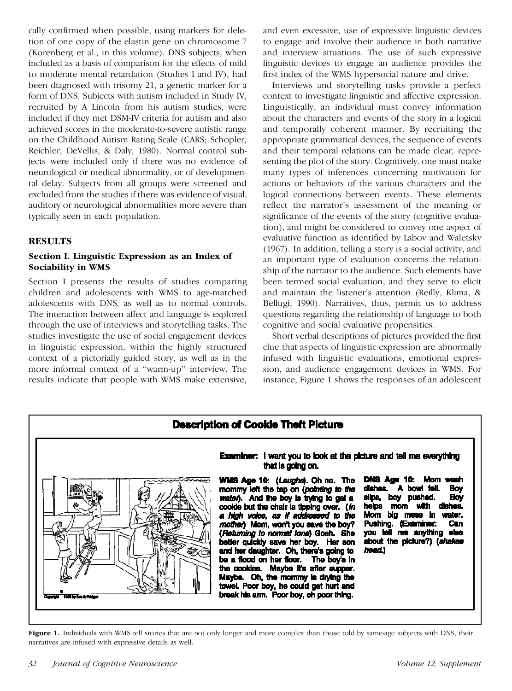cally confirmed when possible, using markers for deletion of one copy of the elastin gene on chromosome 7 (Korenberg et al., in this volume). DNS subjects, when included as a basis of comparison for the effects of mild to moderate mental retardation (Studies I and IV), had been diagnosed with trisomy 21, a genetic marker for a form of DNS. Subjects with autism included in Study IV, recruited by A Lincoln from his autism studies, were included if they met DSM-IV criteria for autism and also achieved scores in the moderate-to-severe autistic range on the Childhood Autism Rating Scale (CARS; Schopler, Reichler, DeVellis, & Daly, 1980). Normal control subjects were included only if there was no evidence of neurological or medical abnormality, or of developmental delay. Subjects from all groups were screened and excluded from the studies if there was evidence of visual, auditory or neurological abnormalities more severe than typically seen in each population.

## **RESULTS**

### **Section I. Linguistic Expression as an Index of Sociability in WMS**

Section I presents the results of studies comparing children and adolescents with WMS to age-matched adolescents with DNS, as well as to normal controls. The interaction between affect and language is explored through the use of interviews and storytelling tasks. The studies investigate the use of social engagement devices in linguistic expression, within the highly structured context of a pictorially guided story, as well as in the more informal context of a ''warm-up'' interview. The results indicate that people with WMS make extensive,

and even excessive, use of expressive linguistic devices to engage and involve their audience in both narrative and interview situations. The use of such expressive linguistic devices to engage an audience provides the first index of the WMS hypersocial nature and drive.

Interviews and storytelling tasks provide a perfect context to investigate linguistic and affective expression. Linguistically, an individual must convey information about the characters and events of the story in a logical and temporally coherent manner. By recruiting the appropriate grammatical devices, the sequence of events and their temporal relations can be made clear, representing the plot of the story. Cognitively, one must make many types of inferences concerning motivation for actions or behaviors of the various characters and the logical connections between events. These elements reflect the narrator's assessment of the meaning or significance of the events of the story (cognitive evaluation), and might be considered to convey one aspect of evaluative function as identified by Labov and Waletsky (1967). In addition, telling a story is a social activity, and an important type of evaluation concerns the relationship of the narrator to the audience. Such elements have been termed social evaluation, and they serve to elicit and maintain the listener's attention (Reilly, Klima, & Bellugi, 1990). Narratives, thus, permit us to address questions regarding the relationship of language to both cognitive and social evaluative propensities.

Short verbal descriptions of pictures provided the first clue that aspects of linguistic expression are abnormally infused with linguistic evaluations, emotional expression, and audience engagement devices in WMS. For instance, Figure 1 shows the responses of an adolescent



Figure 1. Individuals with WMS tell stories that are not only longer and more complex than those told by same-age subjects with DNS, their narratives are infused with expressive details as well.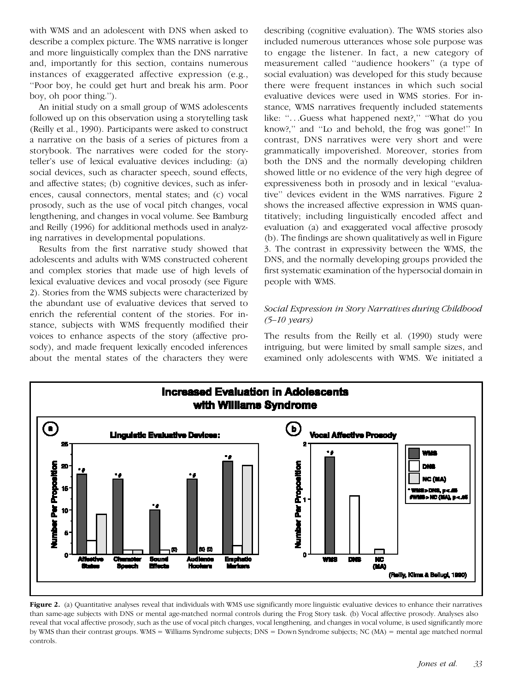with WMS and an adolescent with DNS when asked to describe a complex picture. The WMS narrative is longer and more linguistically complex than the DNS narrative and, importantly for this section, contains numerous instances of exaggerated affective expression (e.g., ''Poor boy, he could get hurt and break his arm. Poor boy, oh poor thing.'').

An initial study on a small group of WMS adolescents followed up on this observation using a storytelling task (Reilly et al., 1990). Participants were asked to construct a narrative on the basis of a series of pictures from a storybook. The narratives were coded for the storyteller's use of lexical evaluative devices including: (a) social devices, such as character speech, sound effects, and affective states; (b) cognitive devices, such as inferences, causal connectors, mental states; and (c) vocal prosody, such as the use of vocal pitch changes, vocal lengthening, and changes in vocal volume. See Bamburg and Reilly (1996) for additional methods used in analyzing narratives in developmental populations.

Results from the first narrative study showed that adolescents and adults with WMS constructed coherent and complex stories that made use of high levels of lexical evaluative devices and vocal prosody (see Figure 2). Stories from the WMS subjects were characterized by the abundant use of evaluative devices that served to enrich the referential content of the stories. For instance, subjects with WMS frequently modified their voices to enhance aspects of the story (affective prosody), and made frequent lexically encoded inferences about the mental states of the characters they were describing (cognitive evaluation). The WMS stories also included numerous utterances whose sole purpose was to engage the listener. In fact, a new category of measurement called ''audience hookers'' (a type of social evaluation) was developed for this study because there were frequent instances in which such social evaluative devices were used in WMS stories. For instance, WMS narratives frequently included statements like: "...Guess what happened next?," "What do you know?,'' and ''Lo and behold, the frog was gone!'' In contrast, DNS narratives were very short and were grammatically impoverished. Moreover, stories from both the DNS and the normally developing children showed little or no evidence of the very high degree of expressiveness both in prosody and in lexical ''evaluative'' devices evident in the WMS narratives. Figure 2 shows the increased affective expression in WMS quantitatively; including linguistically encoded affect and evaluation (a) and exaggerated vocal affective prosody (b). The findings are shown qualitatively as well in Figure 3. The contrast in expressivity between the WMS, the DNS, and the normally developing groups provided the first systematic examination of the hypersocial domain in people with WMS.

#### *Social Expression in Story Narratives during Childhood (5–10 years)*

The results from the Reilly et al. (1990) study were intriguing, but were limited by small sample sizes, and examined only adolescents with WMS. We initiated a



Figure 2. (a) Quantitative analyses reveal that individuals with WMS use significantly more linguistic evaluative devices to enhance their narratives than same-age subjects with DNS or mental age-matched normal controls during the Frog Story task. (b) Vocal affective prosody. Analyses also reveal that vocal affective prosody, such as the use of vocal pitch changes, vocal lengthening, and changes in vocal volume, is used significantly more by WMS than their contrast groups. WMS = Williams Syndrome subjects; DNS = Down Syndrome subjects; NC (MA) = mental age matched normal controls.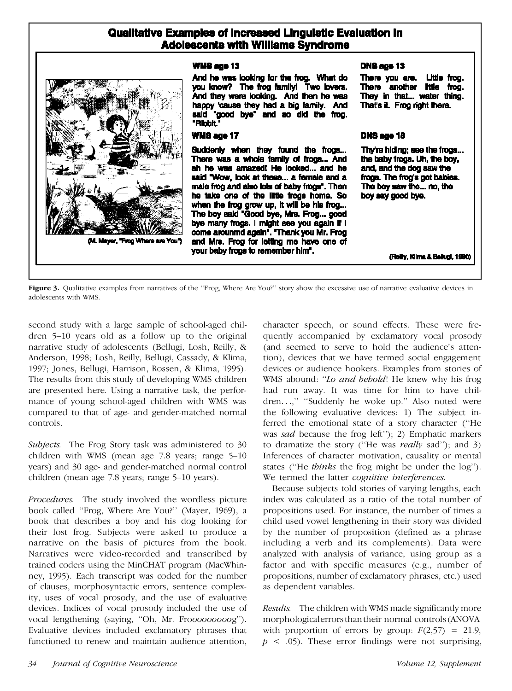# **Qualitative Examples of Increased Linguistic Evaluation in Adolescents with Williams Syndrome**



And he w s looking for the frog. What do you know? The frog family! Two lovers. .<br>And they were looking. And then he v happy 'cause they had a big family. And "good bye" and so did the frog.

#### ae 17

ae 13

Suddenly when they found the frogs. s a whole family of frogs... And Thara wa ah he was amazed! He looked... and he said "Wow, look at these... a fernale and a male frog and also lots of baby frogs". Then he take one of the little frogs home. So when the frog grow up, it will be his frog... The boy said "Good bye, Mrs. Frog... good bye many frogs. I might see you again if I come arounmd again". "Thank you Mr. Frog and Mrs. Frog for letting me have one of your baby frogs to remember him<sup>\*</sup>.

#### DNS age 13

There you are. Little frog. little frog. There another They in that... water thing. That's it. Frog right then

### **DNS age 18**

Thy're hiding: see the frogs. the baby frogs. Uh, the boy, and, and the dog saw the frogs. The frog's got babies. The boy saw the... no, the boy say good bye.

(Reliiv, Klima & Be

**Figure 3.** Qualitative examples from narratives of the "Frog, Where Are You?" story show the excessive use of narrative evaluative devices in adolescents with WMS.

second study with a large sample of school-aged children 5–10 years old as a follow up to the original narrative study of adolescents (Bellugi, Losh, Reilly, & Anderson, 1998; Losh, Reilly, Bellugi, Cassady, & Klima, 1997; Jones, Bellugi, Harrison, Rossen, & Klima, 1995). The results from this study of developing WMS children are presented here. Using a narrative task, the performance of young school-aged children with WMS was compared to that of age- and gender-matched normal controls.

*Subjects.* The Frog Story task was administered to 30 children with WMS (mean age 7.8 years; range 5–10 years) and 30 age- and gender-matched normal control children (mean age 7.8 years; range 5–10 years).

*Procedures.* The study involved the wordless picture book called ''Frog, Where Are You?'' (Mayer, 1969), a book that describes a boy and his dog looking for their lost frog. Subjects were asked to produce a narrative on the basis of pictures from the book. Narratives were video-recorded and transcribed by trained coders using the MinCHAT program (MacWhinney, 1995). Each transcript was coded for the number of clauses, morphosyntactic errors, sentence complexity, uses of vocal prosody, and the use of evaluative devices. Indices of vocal prosody included the use of vocal lengthening (saying, ''Oh, Mr. Fro*oooooooo*g''). Evaluative devices included exclamatory phrases that functioned to renew and maintain audience attention,

character speech, or sound effects. These were frequently accompanied by exclamatory vocal prosody (and seemed to serve to hold the audience's attention), devices that we have termed social engagement devices or audience hookers. Examples from stories of WMS abound: ''*Lo and behold*! He knew why his frog had run away. It was time for him to have children...," "Suddenly he woke up." Also noted were the following evaluative devices: 1) The subject inferred the emotional state of a story character (''He was *sad* because the frog left''); 2) Emphatic markers to dramatize the story (''He was *really* sad''); and 3) Inferences of character motivation, causality or mental states (''He *thinks* the frog might be under the log''). We termed the latter *cognitive interferences*.

Because subjects told stories of varying lengths, each index was calculated as a ratio of the total number of propositions used. For instance, the number of times a child used vowel lengthening in their story was divided by the number of proposition (defined as a phrase including a verb and its complements). Data were analyzed with analysis of variance, using group as a factor and with specific measures (e.g., number of propositions, number of exclamatory phrases, etc.) used as dependent variables.

*Results.* The children with WMS made significantly more morphologicalerrors thantheir normal controls (ANOVA with proportion of errors by group:  $F(2,57) = 21.9$ ,  $p \leq 0.05$ ). These error findings were not surprising,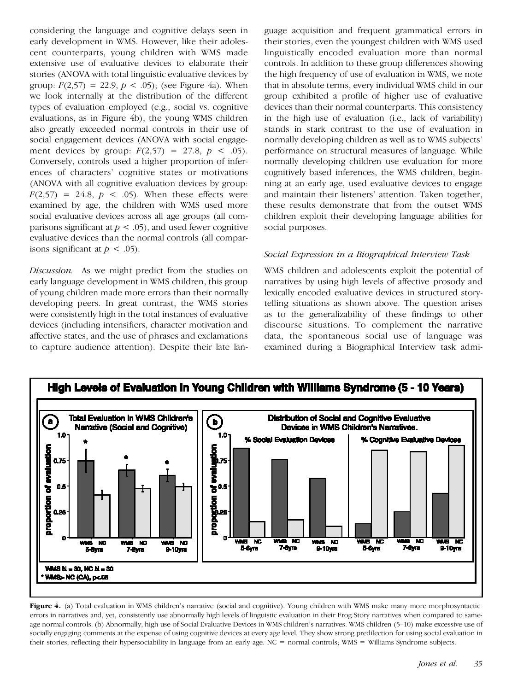considering the language and cognitive delays seen in early development in WMS. However, like their adolescent counterparts, young children with WMS made extensive use of evaluative devices to elaborate their stories (ANOVA with total linguistic evaluative devices by group:  $F(2,57) = 22.9, p < .05$ ; (see Figure 4a). When we look internally at the distribution of the different types of evaluation employed (e.g., social vs. cognitive evaluations, as in Figure 4b), the young WMS children also greatly exceeded normal controls in their use of social engagement devices (ANOVA with social engagement devices by group:  $F(2,57) = 27.8, p < .05$ . Conversely, controls used a higher proportion of inferences of characters' cognitive states or motivations (ANOVA with all cognitive evaluation devices by group:  $F(2,57) = 24.8, p \le .05$ . When these effects were examined by age, the children with WMS used more social evaluative devices across all age groups (all comparisons significant at  $p < .05$ ), and used fewer cognitive evaluative devices than the normal controls (all comparisons significant at  $p < .05$ ).

*Discussion.* As we might predict from the studies on early language development in WMS children, this group of young children made more errors than their normally developing peers. In great contrast, the WMS stories were consistently high in the total instances of evaluative devices (including intensifiers, character motivation and affective states, and the use of phrases and exclamations to capture audience attention). Despite their late language acquisition and frequent grammatical errors in their stories, even the youngest children with WMS used linguistically encoded evaluation more than normal controls. In addition to these group differences showing the high frequency of use of evaluation in WMS, we note that in absolute terms, every individual WMS child in our group exhibited a profile of higher use of evaluative devices than their normal counterparts. This consistency in the high use of evaluation (i.e., lack of variability) stands in stark contrast to the use of evaluation in normally developing children as well as to WMS subjects' performance on structural measures of language. While normally developing children use evaluation for more cognitively based inferences, the WMS children, beginning at an early age, used evaluative devices to engage and maintain their listeners' attention. Taken together, these results demonstrate that from the outset WMS children exploit their developing language abilities for social purposes.

#### *Social Expression in a Biographical Interview Task*

WMS children and adolescents exploit the potential of narratives by using high levels of affective prosody and lexically encoded evaluative devices in structured storytelling situations as shown above. The question arises as to the generalizability of these findings to other discourse situations. To complement the narrative data, the spontaneous social use of language was examined during a Biographical Interview task admi-



**Figure 4.** (a) Total evaluation in WMS children's narrative (social and cognitive). Young children with WMS make many more morphosyntactic errors in narratives and, yet, consistently use abnormally high levels of linguistic evaluation in their Frog Story narratives when compared to same age normal controls. (b) Abnormally, high use of Social Evaluative Devices in WMS children's narratives. WMS children (5–10) make excessive use of socially engaging comments at the expense of using cognitive devices at every age level. They show strong predilection for using social evaluation in their stories, reflecting their hypersociability in language from an early age. NC = normal controls; WMS = Williams Syndrome subjects.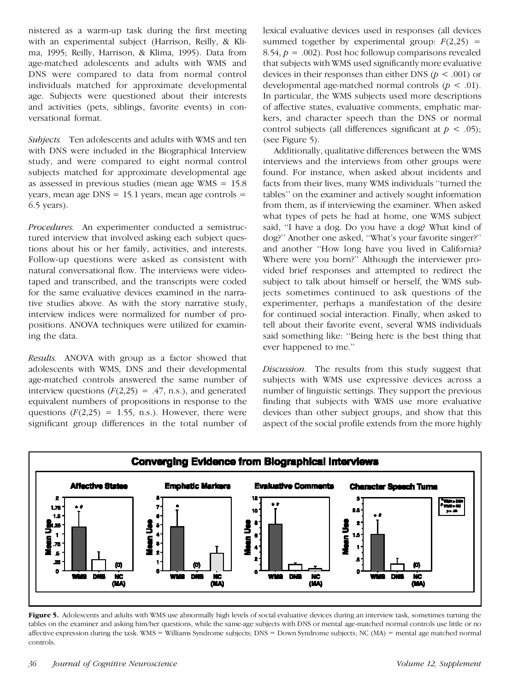nistered as a warm-up task during the first meeting with an experimental subject (Harrison, Reilly, & Klima, 1995; Reilly, Harrison, & Klima, 1995). Data from age-matched adolescents and adults with WMS and DNS were compared to data from normal control individuals matched for approximate developmental age. Subjects were questioned about their interests and activities (pets, siblings, favorite events) in conversational format.

*Subjects.* Ten adolescents and adults with WMS and ten with DNS were included in the Biographical Interview study, and were compared to eight normal control subjects matched for approximate developmental age as assessed in previous studies (mean age WMS = 15.8 years, mean age  $DNS = 15.1$  years, mean age controls = 6.5 years).

*Procedures.* An experimenter conducted a semistructured interview that involved asking each subject questions about his or her family, activities, and interests. Follow-up questions were asked as consistent with natural conversational flow. The interviews were videotaped and transcribed, and the transcripts were coded for the same evaluative devices examined in the narrative studies above. As with the story narrative study, interview indices were normalized for number of propositions. ANOVA techniques were utilized for examining the data.

*Results.* ANOVA with group as a factor showed that adolescents with WMS, DNS and their developmental age-matched controls answered the same number of interview questions  $(F(2,25) = .47, n.s.)$ , and generated equivalent numbers of propositions in response to the questions  $(F(2,25) = 1.55, n.s.).$  However, there were significant group differences in the total number of lexical evaluative devices used in responses (all devices summed together by experimental group:  $F(2,25)$  = 8.54,  $p = .002$ ). Post hoc followup comparisons revealed that subjects with WMS used significantly more evaluative devices in their responses than either DNS (*p* < .001) or developmental age-matched normal controls (*p* < .01). In particular, the WMS subjects used more descriptions of affective states, evaluative comments, emphatic markers, and character speech than the DNS or normal control subjects (all differences significant at  $p < .05$ ); (see Figure 5).

Additionally, qualitative differences between the WMS interviews and the interviews from other groups were found. For instance, when asked about incidents and facts from their lives, many WMS individuals ''turned the tables'' on the examiner and actively sought information from them, as if interviewing the examiner. When asked what types of pets he had at home, one WMS subject said, ''I have a dog. Do you have a dog? What kind of dog?'' Another one asked, ''What's your favorite singer?'' and another ''How long have you lived in California? Where were you born?'' Although the interviewer provided brief responses and attempted to redirect the subject to talk about himself or herself, the WMS subjects sometimes continued to ask questions of the experimenter, perhaps a manifestation of the desire for continued social interaction. Finally, when asked to tell about their favorite event, several WMS individuals said something like: ''Being here is the best thing that ever happened to me.''

*Discussion.* The results from this study suggest that subjects with WMS use expressive devices across a number of linguistic settings. They support the previous finding that subjects with WMS use more evaluative devices than other subject groups, and show that this aspect of the social profile extends from the more highly



**Figure 5.** Adolescents and adults with WMS use abnormally high levels of social evaluative devices during an interview task, sometimes turning the tables on the examiner and asking him/her questions, while the same-age subjects with DNS or mental age-matched normal controls use little or no affective expression during the task. WMS = Williams Syndrome subjects; DNS = Down Syndrome subjects; NC (MA) = mental age matched normal controls.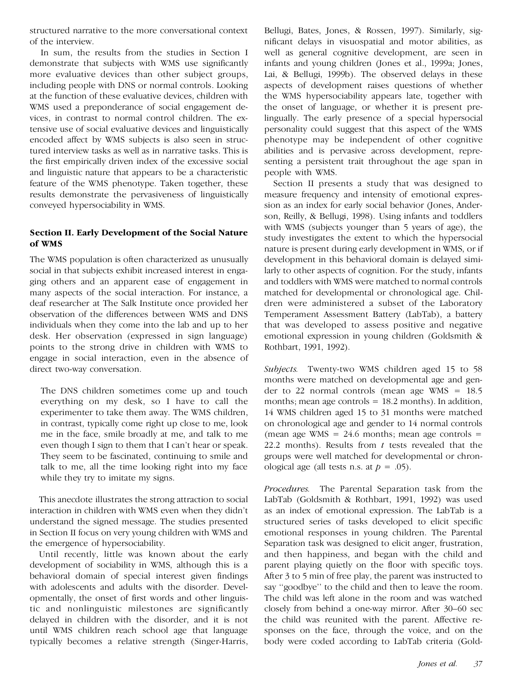structured narrative to the more conversational context of the interview.

In sum, the results from the studies in Section I demonstrate that subjects with WMS use significantly more evaluative devices than other subject groups, including people with DNS or normal controls. Looking at the function of these evaluative devices, children with WMS used a preponderance of social engagement devices, in contrast to normal control children. The extensive use of social evaluative devices and linguistically encoded affect by WMS subjects is also seen in structured interview tasks as well as in narrative tasks. This is the first empirically driven index of the excessive social and linguistic nature that appears to be a characteristic feature of the WMS phenotype. Taken together, these results demonstrate the pervasiveness of linguistically conveyed hypersociability in WMS.

# **Section II. Early Development of the Social Nature of WMS**

The WMS population is often characterized as unusually social in that subjects exhibit increased interest in engaging others and an apparent ease of engagement in many aspects of the social interaction. For instance, a deaf researcher at The Salk Institute once provided her observation of the differences between WMS and DNS individuals when they come into the lab and up to her desk. Her observation (expressed in sign language) points to the strong drive in children with WMS to engage in social interaction, even in the absence of direct two-way conversation.

The DNS children sometimes come up and touch everything on my desk, so I have to call the experimenter to take them away. The WMS children, in contrast, typically come right up close to me, look me in the face, smile broadly at me, and talk to me even though I sign to them that I can't hear or speak. They seem to be fascinated, continuing to smile and talk to me, all the time looking right into my face while they try to imitate my signs.

This anecdote illustrates the strong attraction to social interaction in children with WMS even when they didn't understand the signed message. The studies presented in Section II focus on very young children with WMS and the emergence of hypersociability.

Until recently, little was known about the early development of sociability in WMS, although this is a behavioral domain of special interest given findings with adolescents and adults with the disorder. Developmentally, the onset of first words and other linguistic and nonlinguistic milestones are significantly delayed in children with the disorder, and it is not until WMS children reach school age that language typically becomes a relative strength (Singer-Harris, Bellugi, Bates, Jones, & Rossen, 1997). Similarly, significant delays in visuospatial and motor abilities, as well as general cognitive development, are seen in infants and young children (Jones et al., 1999a; Jones, Lai, & Bellugi, 1999b). The observed delays in these aspects of development raises questions of whether the WMS hypersociability appears late, together with the onset of language, or whether it is present prelingually. The early presence of a special hypersocial personality could suggest that this aspect of the WMS phenotype may be independent of other cognitive abilities and is pervasive across development, representing a persistent trait throughout the age span in people with WMS.

Section II presents a study that was designed to measure frequency and intensity of emotional expression as an index for early social behavior (Jones, Anderson, Reilly, & Bellugi, 1998). Using infants and toddlers with WMS (subjects younger than 5 years of age), the study investigates the extent to which the hypersocial nature is present during early development in WMS, or if development in this behavioral domain is delayed similarly to other aspects of cognition. For the study, infants and toddlers with WMS were matched to normal controls matched for developmental or chronological age. Children were administered a subset of the Laboratory Temperament Assessment Battery (LabTab), a battery that was developed to assess positive and negative emotional expression in young children (Goldsmith & Rothbart, 1991, 1992).

*Subjects.* Twenty-two WMS children aged 15 to 58 months were matched on developmental age and gender to 22 normal controls (mean age WMS = 18.5 months; mean age controls = 18.2 months). In addition, 14 WMS children aged 15 to 31 months were matched on chronological age and gender to 14 normal controls (mean age WMS =  $24.6$  months; mean age controls = 22.2 months). Results from *t* tests revealed that the groups were well matched for developmental or chronological age (all tests n.s. at  $p = .05$ ).

*Procedures.* The Parental Separation task from the LabTab (Goldsmith & Rothbart, 1991, 1992) was used as an index of emotional expression. The LabTab is a structured series of tasks developed to elicit specific emotional responses in young children. The Parental Separation task was designed to elicit anger, frustration, and then happiness, and began with the child and parent playing quietly on the floor with specific toys. After 3 to 5 min of free play, the parent was instructed to say ''goodbye'' to the child and then to leave the room. The child was left alone in the room and was watched closely from behind a one-way mirror. After 30–60 sec the child was reunited with the parent. Affective responses on the face, through the voice, and on the body were coded according to LabTab criteria (Gold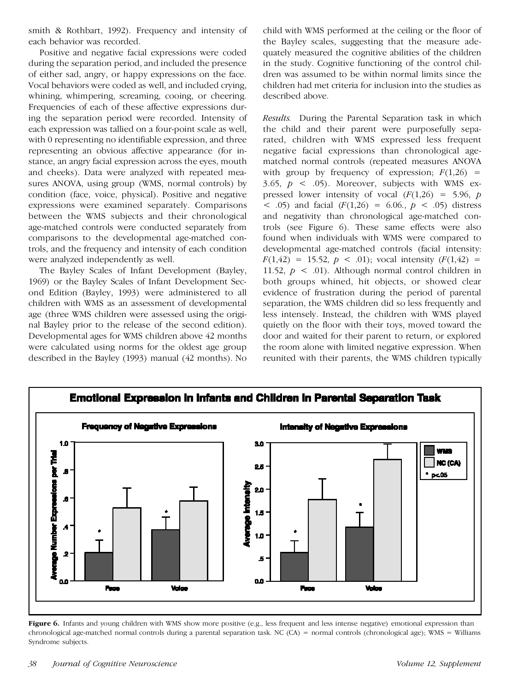smith & Rothbart, 1992). Frequency and intensity of each behavior was recorded.

Positive and negative facial expressions were coded during the separation period, and included the presence of either sad, angry, or happy expressions on the face. Vocal behaviors were coded as well, and included crying, whining, whimpering, screaming, cooing, or cheering. Frequencies of each of these affective expressions during the separation period were recorded. Intensity of each expression was tallied on a four-point scale as well, with 0 representing no identifiable expression, and three representing an obvious affective appearance (for instance, an angry facial expression across the eyes, mouth and cheeks). Data were analyzed with repeated measures ANOVA, using group (WMS, normal controls) by condition (face, voice, physical). Positive and negative expressions were examined separately. Comparisons between the WMS subjects and their chronological age-matched controls were conducted separately from comparisons to the developmental age-matched controls, and the frequency and intensity of each condition were analyzed independently as well.

The Bayley Scales of Infant Development (Bayley, 1969) or the Bayley Scales of Infant Development Second Edition (Bayley, 1993) were administered to all children with WMS as an assessment of developmental age (three WMS children were assessed using the original Bayley prior to the release of the second edition). Developmental ages for WMS children above 42 months were calculated using norms for the oldest age group described in the Bayley (1993) manual (42 months). No

child with WMS performed at the ceiling or the floor of the Bayley scales, suggesting that the measure adequately measured the cognitive abilities of the children in the study. Cognitive functioning of the control children was assumed to be within normal limits since the children had met criteria for inclusion into the studies as described above.

*Results.* During the Parental Separation task in which the child and their parent were purposefully separated, children with WMS expressed less frequent negative facial expressions than chronological agematched normal controls (repeated measures ANOVA with group by frequency of expression;  $F(1,26)$  = 3.65,  $p \leq 0.05$ ). Moreover, subjects with WMS expressed lower intensity of vocal  $(F(1,26) = 5.96, p)$ < .05) and facial (*F*(1,26) = 6.06., *p* < .05) distress and negativity than chronological age-matched controls (see Figure 6). These same effects were also found when individuals with WMS were compared to developmental age-matched controls (facial intensity:  $F(1,42) = 15.52, p < .01$ ; vocal intensity  $(F(1,42)) =$ 11.52,  $p \leq 0.01$ ). Although normal control children in both groups whined, hit objects, or showed clear evidence of frustration during the period of parental separation, the WMS children did so less frequently and less intensely. Instead, the children with WMS played quietly on the floor with their toys, moved toward the door and waited for their parent to return, or explored the room alone with limited negative expression. When reunited with their parents, the WMS children typically



Figure 6. Infants and young children with WMS show more positive (e.g., less frequent and less intense negative) emotional expression than chronological age-matched normal controls during a parental separation task. NC (CA) = normal controls (chronological age); WMS = Williams Syndrome subjects.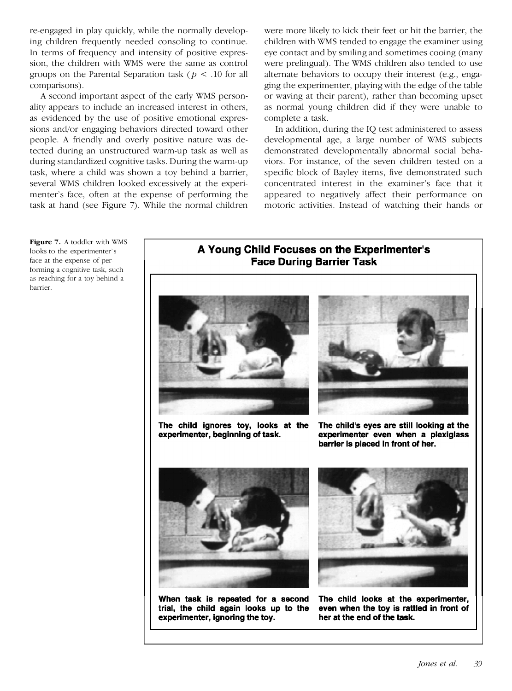re-engaged in play quickly, while the normally developing children frequently needed consoling to continue. In terms of frequency and intensity of positive expression, the children with WMS were the same as control groups on the Parental Separation task ( $p < .10$  for all comparisons).

A second important aspect of the early WMS personality appears to include an increased interest in others, as evidenced by the use of positive emotional expressions and/or engaging behaviors directed toward other people. A friendly and overly positive nature was detected during an unstructured warm-up task as well as during standardized cognitive tasks. During the warm-up task, where a child was shown a toy behind a barrier, several WMS children looked excessively at the experimenter's face, often at the expense of performing the task at hand (see Figure 7). While the normal children were more likely to kick their feet or hit the barrier, the children with WMS tended to engage the examiner using eye contact and by smiling and sometimes cooing (many were prelingual). The WMS children also tended to use alternate behaviors to occupy their interest (e.g., engaging the experimenter, playing with the edge of the table or waving at their parent), rather than becoming upset as normal young children did if they were unable to complete a task.

In addition, during the IQ test administered to assess developmental age, a large number of WMS subjects demonstrated developmentally abnormal social behaviors. For instance, of the seven children tested on a specific block of Bayley items, five demonstrated such concentrated interest in the examiner's face that it appeared to negatively affect their performance on motoric activities. Instead of watching their hands or

**Figure 7.** A toddler with WMS looks to the experimenter's face at the expense of performing a cognitive task, such as reaching for a toy behind a barrier.

# A Young Child Focuses on the Experimenter's **Face During Barrier Task**



The child ignores toy, looks at the experimenter, beginning of task.



The child's eyes are still looking at the experimenter even when a plexiglass barrier is placed in front of her.



When task is repeated for a second trial, the child again looks up to the experimenter, ignoring the toy.



The child looks at the experimenter, even when the toy is rattled in front of her at the end of the task.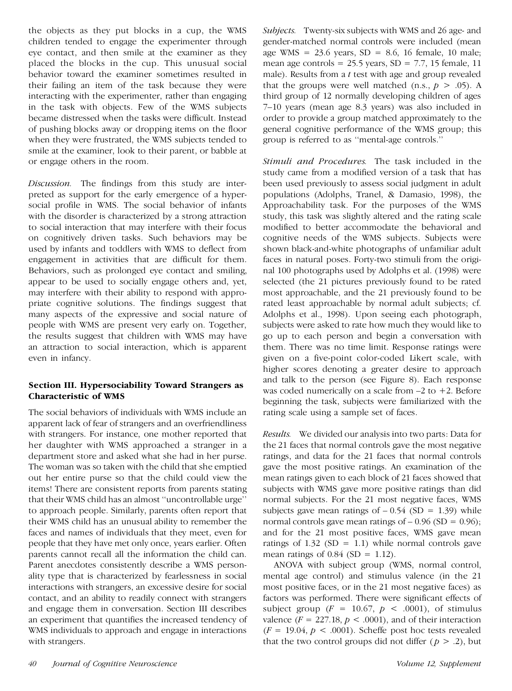the objects as they put blocks in a cup, the WMS children tended to engage the experimenter through eye contact, and then smile at the examiner as they placed the blocks in the cup. This unusual social behavior toward the examiner sometimes resulted in their failing an item of the task because they were interacting with the experimenter, rather than engaging in the task with objects. Few of the WMS subjects became distressed when the tasks were difficult. Instead of pushing blocks away or dropping items on the floor when they were frustrated, the WMS subjects tended to smile at the examiner, look to their parent, or babble at or engage others in the room.

*Discussion.* The findings from this study are interpreted as support for the early emergence of a hypersocial profile in WMS. The social behavior of infants with the disorder is characterized by a strong attraction to social interaction that may interfere with their focus on cognitively driven tasks. Such behaviors may be used by infants and toddlers with WMS to deflect from engagement in activities that are difficult for them. Behaviors, such as prolonged eye contact and smiling, appear to be used to socially engage others and, yet, may interfere with their ability to respond with appropriate cognitive solutions. The findings suggest that many aspects of the expressive and social nature of people with WMS are present very early on. Together, the results suggest that children with WMS may have an attraction to social interaction, which is apparent even in infancy.

# **Section III. Hypersociability Toward Strangers as Characteristic of WMS**

The social behaviors of individuals with WMS include an apparent lack of fear of strangers and an overfriendliness with strangers. For instance, one mother reported that her daughter with WMS approached a stranger in a department store and asked what she had in her purse. The woman was so taken with the child that she emptied out her entire purse so that the child could view the items! There are consistent reports from parents stating that their WMS child has an almost ''uncontrollable urge'' to approach people. Similarly, parents often report that their WMS child has an unusual ability to remember the faces and names of individuals that they meet, even for people that they have met only once, years earlier. Often parents cannot recall all the information the child can. Parent anecdotes consistently describe a WMS personality type that is characterized by fearlessness in social interactions with strangers, an excessive desire for social contact, and an ability to readily connect with strangers and engage them in conversation. Section III describes an experiment that quantifies the increased tendency of WMS individuals to approach and engage in interactions with strangers.

*Subjects.* Twenty-six subjects with WMS and 26 age- and gender-matched normal controls were included (mean age WMS =  $23.6$  years, SD =  $8.6$ , 16 female, 10 male; mean age controls =  $25.5$  years,  $SD = 7.7$ , 15 female, 11 male). Results from a *t*test with age and group revealed that the groups were well matched (n.s.,  $p > .05$ ). A third group of 12 normally developing children of ages 7–10 years (mean age 8.3 years) was also included in order to provide a group matched approximately to the general cognitive performance of the WMS group; this group is referred to as ''mental-age controls.''

*Stimuli and Procedures.* The task included in the study came from a modified version of a task that has been used previously to assess social judgment in adult populations (Adolphs, Tranel, & Damasio, 1998), the Approachability task. For the purposes of the WMS study, this task was slightly altered and the rating scale modified to better accommodate the behavioral and cognitive needs of the WMS subjects. Subjects were shown black-and-white photographs of unfamiliar adult faces in natural poses. Forty-two stimuli from the original 100 photographs used by Adolphs et al. (1998) were selected (the 21 pictures previously found to be rated most approachable, and the 21 previously found to be rated least approachable by normal adult subjects; cf. Adolphs et al., 1998). Upon seeing each photograph, subjects were asked to rate how much they would like to go up to each person and begin a conversation with them. There was no time limit. Response ratings were given on a five-point color-coded Likert scale, with higher scores denoting a greater desire to approach and talk to the person (see Figure 8). Each response was coded numerically on a scale from  $-2$  to  $+2$ . Before beginning the task, subjects were familiarized with the rating scale using a sample set of faces.

*Results.* We divided our analysis into two parts: Data for the 21 faces that normal controls gave the most negative ratings, and data for the 21 faces that normal controls gave the most positive ratings. An examination of the mean ratings given to each block of 21 faces showed that subjects with WMS gave more positive ratings than did normal subjects. For the 21 most negative faces, WMS subjects gave mean ratings of  $-0.54$  (SD = 1.39) while normal controls gave mean ratings of  $-0.96$  (SD = 0.96); and for the 21 most positive faces, WMS gave mean ratings of  $1.32$  (SD = 1.1) while normal controls gave mean ratings of  $0.84$  (SD = 1.12).

ANOVA with subject group (WMS, normal control, mental age control) and stimulus valence (in the 21 most positive faces, or in the 21 most negative faces) as factors was performed. There were significant effects of subject group  $(F = 10.67, p < .0001)$ , of stimulus valence  $(F = 227.18, p < .0001)$ , and of their interaction  $(F = 19.04, p < .0001)$ . Scheffe post hoc tests revealed that the two control groups did not differ  $(p > .2)$ , but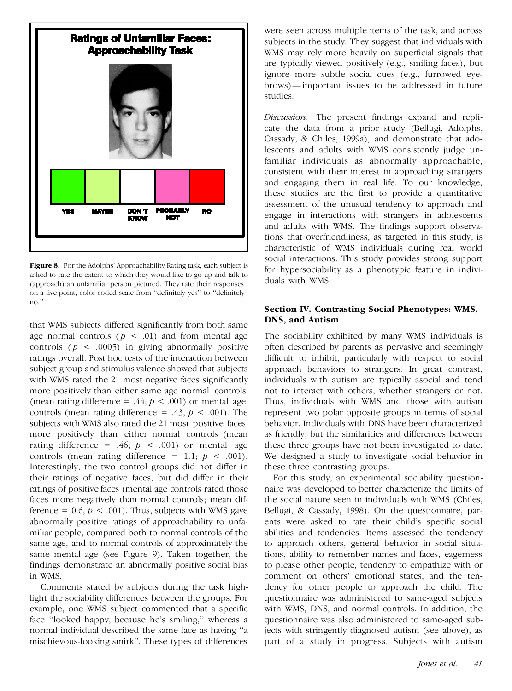

**Figure 8.** For the Adolphs' Approachability Rating task, each subject is asked to rate the extent to which they would like to go up and talk to (approach) an unfamiliar person pictured. They rate their responses on a five-point, color-coded scale from ''definitely yes'' to ''definitely no.''

that WMS subjects differed significantly from both same age normal controls ( $p < .01$ ) and from mental age controls ( $p \lt 0.0005$ ) in giving abnormally positive ratings overall. Post hoc tests of the interaction between subject group and stimulus valence showed that subjects with WMS rated the 21 most negative faces significantly more positively than either same age normal controls (mean rating difference = .44;  $p < .001$ ) or mental age controls (mean rating difference =  $.43, p < .001$ ). The subjects with WMS also rated the 21 most positive faces more positively than either normal controls (mean rating difference =  $.46; p \lt .001$  or mental age controls (mean rating difference  $= 1.1$ ;  $p < .001$ ). Interestingly, the two control groups did not differ in their ratings of negative faces, but did differ in their ratings of positive faces (mental age controls rated those faces more negatively than normal controls; mean difference  $= 0.6$ ,  $p < .001$ ). Thus, subjects with WMS gave abnormally positive ratings of approachability to unfamiliar people, compared both to normal controls of the same age, and to normal controls of approximately the same mental age (see Figure 9). Taken together, the findings demonstrate an abnormally positive social bias in WMS.

Comments stated by subjects during the task highlight the sociability differences between the groups. For example, one WMS subject commented that a specific face ''looked happy, because he's smiling,'' whereas a normal individual described the same face as having ''a mischievous-looking smirk''. These types of differences were seen across multiple items of the task, and across subjects in the study. They suggest that individuals with WMS may rely more heavily on superficial signals that are typically viewed positively (e.g., smiling faces), but ignore more subtle social cues (e.g., furrowed eyebrows)— important issues to be addressed in future studies.

*Discussion.* The present findings expand and replicate the data from a prior study (Bellugi, Adolphs, Cassady, & Chiles, 1999a), and demonstrate that adolescents and adults with WMS consistently judge unfamiliar individuals as abnormally approachable, consistent with their interest in approaching strangers and engaging them in real life. To our knowledge, these studies are the first to provide a quantitative assessment of the unusual tendency to approach and engage in interactions with strangers in adolescents and adults with WMS. The findings support observations that overfriendliness, as targeted in this study, is characteristic of WMS individuals during real world social interactions. This study provides strong support for hypersociability as a phenotypic feature in individuals with WMS.

### **Section IV. Contrasting Social Phenotypes: WMS, DNS, and Autism**

The sociability exhibited by many WMS individuals is often described by parents as pervasive and seemingly difficult to inhibit, particularly with respect to social approach behaviors to strangers. In great contrast, individuals with autism are typically asocial and tend not to interact with others, whether strangers or not. Thus, individuals with WMS and those with autism represent two polar opposite groups in terms of social behavior. Individuals with DNS have been characterized as friendly, but the similarities and differences between these three groups have not been investigated to date. We designed a study to investigate social behavior in these three contrasting groups.

For this study, an experimental sociability questionnaire was developed to better characterize the limits of the social nature seen in individuals with WMS (Chiles, Bellugi, & Cassady, 1998). On the questionnaire, parents were asked to rate their child's specific social abilities and tendencies. Items assessed the tendency to approach others, general behavior in social situations, ability to remember names and faces, eagerness to please other people, tendency to empathize with or comment on others' emotional states, and the tendency for other people to approach the child. The questionnaire was administered to same-aged subjects with WMS, DNS, and normal controls. In addition, the questionnaire was also administered to same-aged subjects with stringently diagnosed autism (see above), as part of a study in progress. Subjects with autism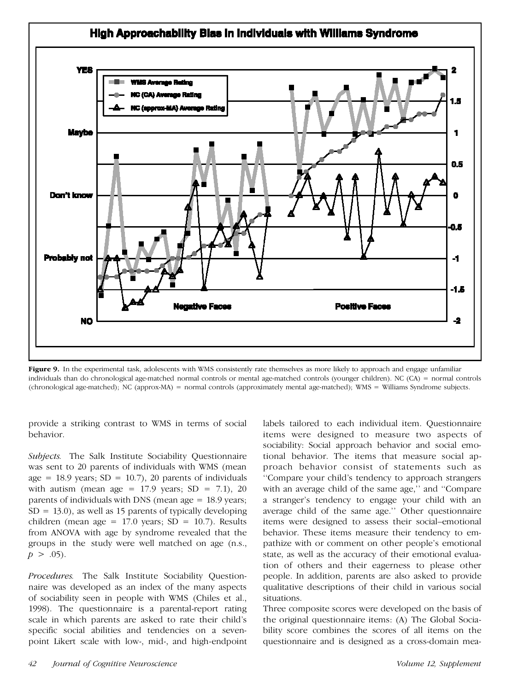

Figure 9. In the experimental task, adolescents with WMS consistently rate themselves as more likely to approach and engage unfamiliar individuals than do chronological age-matched normal controls or mental age-matched controls (younger children). NC (CA) = normal controls (chronological age-matched); NC (approx-MA) = normal controls (approximately mental age-matched); WMS = Williams Syndrome subjects.

provide a striking contrast to WMS in terms of social behavior.

*Subjects.* The Salk Institute Sociability Questionnaire was sent to 20 parents of individuals with WMS (mean age = 18.9 years;  $SD = 10.7$ ), 20 parents of individuals with autism (mean age =  $17.9$  years; SD =  $7.1$ ), 20 parents of individuals with DNS (mean age = 18.9 years;  $SD = 13.0$ , as well as 15 parents of typically developing children (mean age =  $17.0$  years; SD =  $10.7$ ). Results from ANOVA with age by syndrome revealed that the groups in the study were well matched on age (n.s.,  $p > .05$ ).

*Procedures.* The Salk Institute Sociability Questionnaire was developed as an index of the many aspects of sociability seen in people with WMS (Chiles et al., 1998). The questionnaire is a parental-report rating scale in which parents are asked to rate their child's specific social abilities and tendencies on a sevenpoint Likert scale with low-, mid-, and high-endpoint

labels tailored to each individual item. Questionnaire items were designed to measure two aspects of sociability: Social approach behavior and social emotional behavior. The items that measure social approach behavior consist of statements such as ''Compare your child's tendency to approach strangers with an average child of the same age,'' and ''Compare a stranger's tendency to engage your child with an average child of the same age.'' Other questionnaire items were designed to assess their social–emotional behavior. These items measure their tendency to empathize with or comment on other people's emotional state, as well as the accuracy of their emotional evaluation of others and their eagerness to please other people. In addition, parents are also asked to provide qualitative descriptions of their child in various social situations.

Three composite scores were developed on the basis of the original questionnaire items: (A) The Global Sociability score combines the scores of all items on the questionnaire and is designed as a cross-domain mea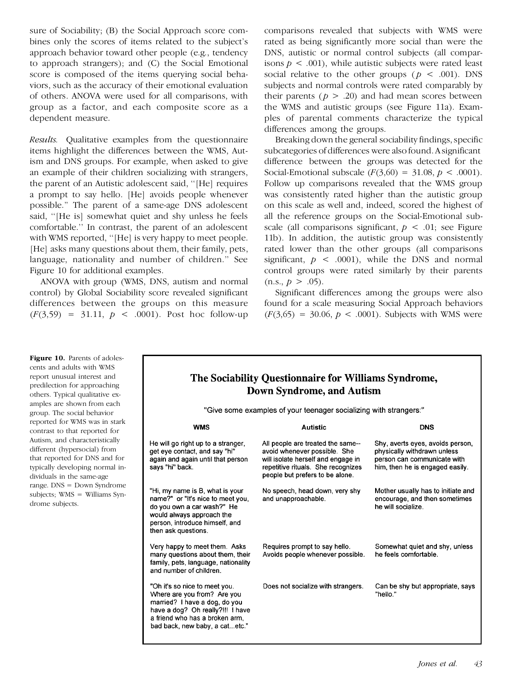sure of Sociability; (B) the Social Approach score combines only the scores of items related to the subject's approach behavior toward other people (e.g., tendency to approach strangers); and (C) the Social Emotional score is composed of the items querying social behaviors, such as the accuracy of their emotional evaluation of others. ANOVA were used for all comparisons, with group as a factor, and each composite score as a dependent measure.

*Results.* Qualitative examples from the questionnaire items highlight the differences between the WMS, Autism and DNS groups. For example, when asked to give an example of their children socializing with strangers, the parent of an Autistic adolescent said, ''[He] requires a prompt to say hello. [He] avoids people whenever possible.'' The parent of a same-age DNS adolescent said, ''[He is] somewhat quiet and shy unless he feels comfortable.'' In contrast, the parent of an adolescent with WMS reported, "[He] is very happy to meet people. [He] asks many questions about them, their family, pets, language, nationality and number of children.'' See Figure 10 for additional examples.

ANOVA with group (WMS, DNS, autism and normal control) by Global Sociability score revealed significant differences between the groups on this measure  $(F(3,59) = 31.11, p < .0001)$ . Post hoc follow-up comparisons revealed that subjects with WMS were rated as being significantly more social than were the DNS, autistic or normal control subjects (all comparisons  $p < .001$ ), while autistic subjects were rated least social relative to the other groups ( $p < .001$ ). DNS subjects and normal controls were rated comparably by their parents ( $p > .20$ ) and had mean scores between the WMS and autistic groups (see Figure 11a). Examples of parental comments characterize the typical differences among the groups.

Breaking down the general sociability findings, specific subcategories of differences were also found. A significant difference between the groups was detected for the Social-Emotional subscale  $(F(3,60) = 31.08, p < .0001)$ . Follow up comparisons revealed that the WMS group was consistently rated higher than the autistic group on this scale as well and, indeed, scored the highest of all the reference groups on the Social-Emotional subscale (all comparisons significant,  $p < .01$ ; see Figure 11b). In addition, the autistic group was consistently rated lower than the other groups (all comparisons significant,  $p \, < \, .0001$ ), while the DNS and normal control groups were rated similarly by their parents  $(n.s., p > .05)$ .

Significant differences among the groups were also found for a scale measuring Social Approach behaviors  $(F(3,65) = 30.06, p < .0001)$ . Subjects with WMS were

**Figure 10.** Parents of adoles cents and adults with WMS report unusual interest and predilection for approaching others. Typical qualitative ex amples are shown from each group. The social behavior reported for WMS was in stark contrast to that reported for Autism, and characteristically different (hypersocial) from that reported for DNS and for typically developing normal individuals in the same-age range. DNS = Down Syndrome subjects; WMS = Williams Syndrome subjects.

# The Sociability Ouestionnaire for Williams Syndrome, **Down Syndrome, and Autism**

"Give some examples of your teenager socializing with strangers:"

| <b>WMS</b>                                                                                                                                                                                            | <b>Autistic</b>                                                                                                                                                                 | <b>DNS</b>                                                                                                                        |
|-------------------------------------------------------------------------------------------------------------------------------------------------------------------------------------------------------|---------------------------------------------------------------------------------------------------------------------------------------------------------------------------------|-----------------------------------------------------------------------------------------------------------------------------------|
| He will go right up to a stranger,<br>get eye contact, and say "hi"<br>again and again until that person<br>says "hi" back.                                                                           | All people are treated the same--<br>avoid whenever possible. She<br>will isolate herself and engage in<br>repetitive rituals She recognizes<br>people but prefers to be alone. | Shy, averts eyes, avoids person,<br>physically withdrawn unless<br>person can communicate with<br>him, then he is engaged easily. |
| "Hi, my name is B, what is your<br>name?" or "It's nice to meet you,<br>do you own a car wash?" He<br>would always approach the<br>person, introduce himself, and<br>then ask questions.              | No speech, head down, very shy<br>and unapproachable.                                                                                                                           | Mother usually has to initiate and<br>encourage, and then sometimes<br>he will socialize.                                         |
| Very happy to meet them. Asks<br>many questions about them, their<br>family pets, language nationality<br>and number of children.                                                                     | Requires prompt to say hello.<br>Avoids people whenever possible.                                                                                                               | Somewhat quiet and shy, unless<br>he feels comfortable.                                                                           |
| "Oh it's so nice to meet you.<br>Where are you from? Are you<br>married? I have a dog, do you<br>have a dog? Oh really?!!! I have<br>a friend who has a broken arm,<br>bad back, new baby, a catetc." | Does not socialize with strangers.                                                                                                                                              | Can be shy but appropriate, says<br>"hello."                                                                                      |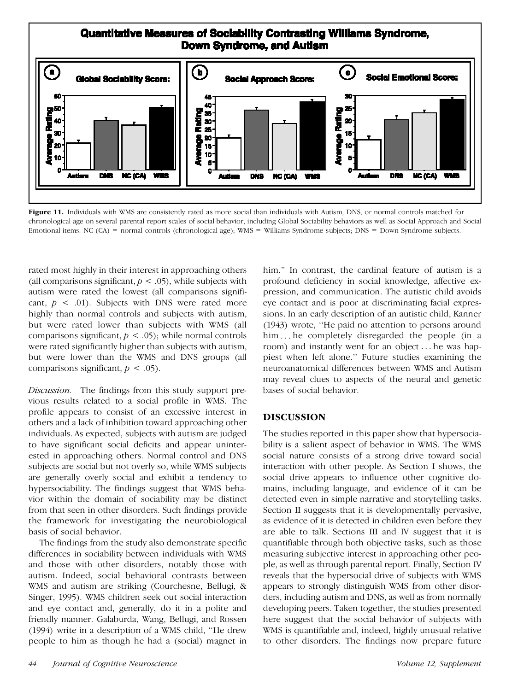# Quantitative Measures of Sociability Contrasting Williams Syndrome, **Down Syndrome, and Autism**



Figure 11. Individuals with WMS are consistently rated as more social than individuals with Autism, DNS, or normal controls matched for chronological age on several parental report scales of social behavior, including Global Sociability behaviors as well as Social Approach and Social Emotional items. NC (CA) = normal controls (chronological age); WMS = Williams Syndrome subjects; DNS = Down Syndrome subjects.

rated most highly in their interest in approaching others (all comparisons significant,  $p < .05$ ), while subjects with autism were rated the lowest (all comparisons significant,  $p \leq .01$ ). Subjects with DNS were rated more highly than normal controls and subjects with autism, but were rated lower than subjects with WMS (all comparisons significant,  $p < .05$ ; while normal controls were rated significantly higher than subjects with autism, but were lower than the WMS and DNS groups (all comparisons significant,  $p < .05$ ).

*Discussion.* The findings from this study support previous results related to a social profile in WMS. The profile appears to consist of an excessive interest in others and a lack of inhibition toward approaching other individuals. As expected, subjects with autism are judged to have significant social deficits and appear uninterested in approaching others. Normal control and DNS subjects are social but not overly so, while WMS subjects are generally overly social and exhibit a tendency to hypersociability. The findings suggest that WMS behavior within the domain of sociability may be distinct from that seen in other disorders. Such findings provide the framework for investigating the neurobiological basis of social behavior.

The findings from the study also demonstrate specific differences in sociability between individuals with WMS and those with other disorders, notably those with autism. Indeed, social behavioral contrasts between WMS and autism are striking (Courchesne, Bellugi, & Singer, 1995). WMS children seek out social interaction and eye contact and, generally, do it in a polite and friendly manner. Galaburda, Wang, Bellugi, and Rossen (1994) write in a description of a WMS child, ''He drew people to him as though he had a (social) magnet in

him.'' In contrast, the cardinal feature of autism is a profound deficiency in social knowledge, affective expression, and communication. The autistic child avoids eye contact and is poor at discriminating facial expressions. In an early description of an autistic child, Kanner (1943) wrote, ''He paid no attention to persons around him... he completely disregarded the people (in a room) and instantly went for an object . . . he was happiest when left alone.'' Future studies examining the neuroanatomical differences between WMS and Autism may reveal clues to aspects of the neural and genetic bases of social behavior.

# **DISCUSSION**

The studies reported in this paper show that hypersociability is a salient aspect of behavior in WMS. The WMS social nature consists of a strong drive toward social interaction with other people. As Section I shows, the social drive appears to influence other cognitive domains, including language, and evidence of it can be detected even in simple narrative and storytelling tasks. Section II suggests that it is developmentally pervasive, as evidence of it is detected in children even before they are able to talk. Sections III and IV suggest that it is quantifiable through both objective tasks, such as those measuring subjective interest in approaching other people, as well as through parental report. Finally, Section IV reveals that the hypersocial drive of subjects with WMS appears to strongly distinguish WMS from other disorders, including autism and DNS, as well as from normally developing peers. Taken together, the studies presented here suggest that the social behavior of subjects with WMS is quantifiable and, indeed, highly unusual relative to other disorders. The findings now prepare future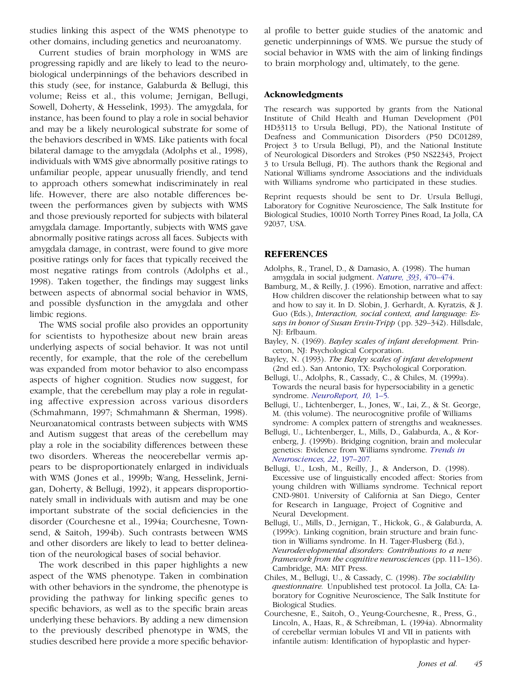studies linking this aspect of the WMS phenotype to other domains, including genetics and neuroanatomy.

Current studies of brain morphology in WMS are progressing rapidly and are likely to lead to the neurobiological underpinnings of the behaviors described in this study (see, for instance, Galaburda & Bellugi, this volume; Reiss et al., this volume; Jernigan, Bellugi, Sowell, Doherty, & Hesselink, 1993). The amygdala, for instance, has been found to play a role in social behavior and may be a likely neurological substrate for some of the behaviors described in WMS. Like patients with focal bilateral damage to the amygdala (Adolphs et al., 1998), individuals with WMS give abnormally positive ratings to unfamiliar people, appear unusually friendly, and tend to approach others somewhat indiscriminately in real life. However, there are also notable differences between the performances given by subjects with WMS and those previously reported for subjects with bilateral amygdala damage. Importantly, subjects with WMS gave abnormally positive ratings across all faces. Subjects with amygdala damage, in contrast, were found to give more positive ratings only for faces that typically received the most negative ratings from controls (Adolphs et al., 1998). Taken together, the findings may suggest links between aspects of abnormal social behavior in WMS, and possible dysfunction in the amygdala and other limbic regions.

The WMS social profile also provides an opportunity for scientists to hypothesize about new brain areas underlying aspects of social behavior. It was not until recently, for example, that the role of the cerebellum was expanded from motor behavior to also encompass aspects of higher cognition. Studies now suggest, for example, that the cerebellum may play a role in regulating affective expression across various disorders (Schmahmann, 1997; Schmahmann & Sherman, 1998). Neuroanatomical contrasts between subjects with WMS and Autism suggest that areas of the cerebellum may play a role in the sociability differences between these two disorders. Whereas the neocerebellar vermis appears to be disproportionately enlarged in individuals with WMS (Jones et al., 1999b; Wang, Hesselink, Jernigan, Doherty, & Bellugi, 1992), it appears disproportionately small in individuals with autism and may be one important substrate of the social deficiencies in the disorder (Courchesne et al., 1994a; Courchesne, Townsend, & Saitoh, 1994b). Such contrasts between WMS and other disorders are likely to lead to better delineation of the neurological bases of social behavior.

The work described in this paper highlights a new aspect of the WMS phenotype. Taken in combination with other behaviors in the syndrome, the phenotype is providing the pathway for linking specific genes to specific behaviors, as well as to the specific brain areas underlying these behaviors. By adding a new dimension to the previously described phenotype in WMS, the studies described here provide a more specific behavioral profile to better guide studies of the anatomic and genetic underpinnings of WMS. We pursue the study of social behavior in WMS with the aim of linking findings to brain morphology and, ultimately, to the gene.

#### **Acknowledgments**

The research was supported by grants from the National Institute of Child Health and Human Development (P01 HD33113 to Ursula Bellugi, PD), the National Institute of Deafness and Communication Disorders (P50 DC01289, Project 3 to Ursula Bellugi, PI), and the National Institute of Neurological Disorders and Strokes (P50 NS22343, Project 3 to Ursula Bellugi, PI). The authors thank the Regional and National Williams syndrome Associations and the individuals with Williams syndrome who participated in these studies.

Reprint requests should be sent to Dr. Ursula Bellugi, Laboratory for Cognitive Neuroscience, The Salk Institute for Biological Studies, 10010 North Torrey Pines Road, La Jolla, CA 92037, USA.

#### **REFERENCES**

- Adolphs, R., Tranel, D., & Damasio, A. (1998). The human amygdala in social judgment. *Nature, 393*, [470–474.](http://pinkerton.catchword.com/nw=1/rpsv/0028-0836^28^29393L.470[nlm=9624002])
- Bamburg, M., & Reilly, J. (1996). Emotion, narrative and affect: How children discover the relationship between what to say and how to say it. In D. Slobin, J. Gerhardt, A. Kyratzis, & J. Guo (Eds.), *Interaction, social context, and language: Essays in honor of Susan Ervin-Tripp* (pp. 329–342). Hillsdale, NJ: Erlbaum.
- Bayley, N. (1969). *Bayley scales of infant development.* Princeton, NJ: Psychological Corporation.
- Bayley, N. (1993). *The Bayley scales of infant development* (2nd ed.). San Antonio, TX: Psychological Corporation.
- Bellugi, U., Adolphs, R., Cassady, C., & Chiles, M. (1999a). Towards the neural basis for hypersociability in a genetic syndrome. *[NeuroReport,](http://pinkerton.catchword.com/nw=1/rpsv/0959-4965^28^2910L.1[csa=0959-4965^26vol=10^26iss=1^26firstpage=1,nlm=10094123]) 10,* 1–5.
- Bellugi, U., Lichtenberger, L., Jones, W., Lai, Z., & St. George, M. (this volume). The neurocognitive profile of Williams syndrome: A complex pattern of strengths and weaknesses.
- Bellugi, U., Lichtenberger, L., Mills, D., Galaburda, A., & Korenberg, J. (1999b). Bridging cognition, brain and molecular genetics: Evidence from Williams syndrome. *[Trends](http://pinkerton.catchword.com/nw=1/rpsv/0166-2236^28^2922L.197[nlm=10322491]) in [Neurosciences,](http://pinkerton.catchword.com/nw=1/rpsv/0166-2236^28^2922L.197[nlm=10322491]) 22*, 197–207.
- Bellugi, U., Losh, M., Reilly, J., & Anderson, D. (1998). Excessive use of linguistically encoded affect: Stories from young children with Williams syndrome. Technical report CND-9801. University of California at San Diego, Center for Research in Language, Project of Cognitive and Neural Development.
- Bellugi, U., Mills, D., Jernigan, T., Hickok, G., & Galaburda, A. (1999c). Linking cognition, brain structure and brain function in Williams syndrome. In H. Tager-Flusberg (Ed.), *Neurodevelopmental disorders: Contributions to a new framework from the cognitive neurosciences* (pp. 111–136). Cambridge, MA: MIT Press.
- Chiles, M., Bellugi, U., & Cassady, C. (1998). *The sociability questionnaire.* Unpublished test protocol. La Jolla, CA: Laboratory for Cognitive Neuroscience, The Salk Institute for Biological Studies.
- Courchesne, E., Saitoh, O., Yeung-Courchesne, R., Press, G., Lincoln, A., Haas, R., & Schreibman, L. (1994a). Abnormality of cerebellar vermian lobules VI and VII in patients with infantile autism: Identification of hypoplastic and hyper-